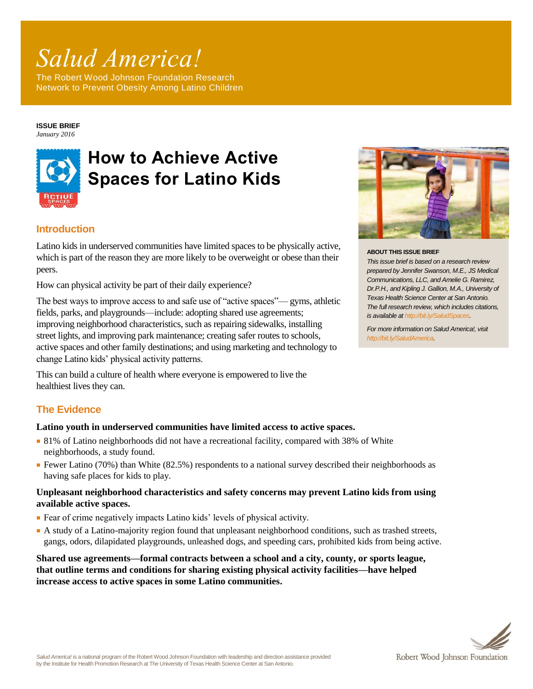# *Salud America!*

The Robert Wood Johnson Foundation Research Network to Prevent Obesity Among Latino Children

**ISSUE BRIEF** *January 2016*



# **How to Achieve Active Spaces for Latino Kids**

## **Introduction**

Latino kids in underserved communities have limited spaces to be physically active, which is part of the reason they are more likely to be overweight or obese than their peers.

How can physical activity be part of their daily experience?

The best ways to improve access to and safe use of "active spaces"— gyms, athletic fields, parks, and playgrounds—include: adopting shared use agreements; improving neighborhood characteristics, such as repairing sidewalks, installing street lights, and improving park maintenance; creating safer routes to schools, active spaces and other family destinations; and using marketing and technology to change Latino kids' physical activity patterns.

This can build a culture of health where everyone is empowered to live the healthiest lives they can.

## **The Evidence**

#### **Latino youth in underserved communities have limited access to active spaces.**

- 81% of Latino neighborhoods did not have a recreational facility, compared with 38% of White neighborhoods, a study found.
- Fewer Latino (70%) than White (82.5%) respondents to a national survey described their neighborhoods as having safe places for kids to play.

#### **Unpleasant neighborhood characteristics and safety concerns may prevent Latino kids from using available active spaces.**

- Fear of crime negatively impacts Latino kids' levels of physical activity.
- A study of a Latino-majority region found that unpleasant neighborhood conditions, such as trashed streets, gangs, odors, dilapidated playgrounds, unleashed dogs, and speeding cars, prohibited kids from being active.

**Shared use agreements—formal contracts between a school and a city, county, or sports league, that outline terms and conditions for sharing existing physical activity facilities—have helped increase access to active spaces in some Latino communities.**



#### **ABOUT THIS ISSUE BRIEF**

*This issue brief is based on a research review prepared by Jennifer Swanson, M.E., JS Medical Communications, LLC, and Amelie G. Ramirez, Dr.P.H., and Kipling J. Gallion, M.A., University of Texas Health Science Center at San Antonio. The full research review, which includes citations, is available at [http://bit.ly/SaludSpaces.](http://www.communitycommons.org/groups/salud-america/big-bets/sa-active-spaces/)* 

*For more information on Salud America!, visit [http://bit.ly/SaludAmerica.](http://www.communitycommons.org/groups/salud-america/)*

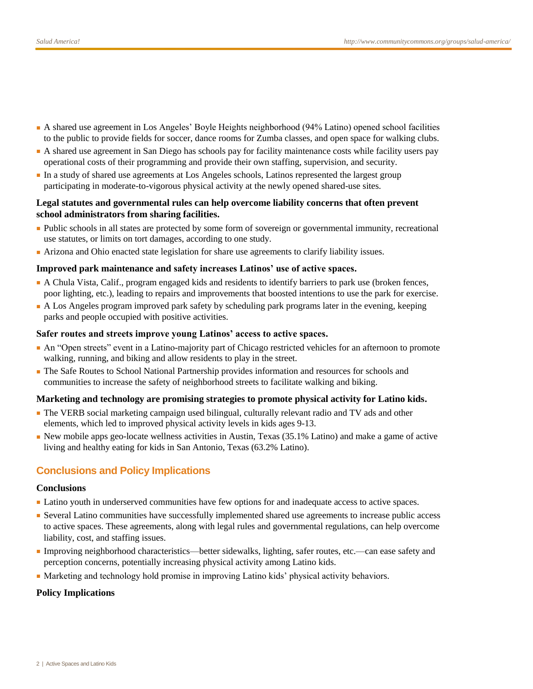- A shared use agreement in Los Angeles' Boyle Heights neighborhood (94% Latino) opened school facilities to the public to provide fields for soccer, dance rooms for Zumba classes, and open space for walking clubs.
- A shared use agreement in San Diego has schools pay for facility maintenance costs while facility users pay operational costs of their programming and provide their own staffing, supervision, and security.
- In a study of shared use agreements at Los Angeles schools, Latinos represented the largest group participating in moderate-to-vigorous physical activity at the newly opened shared-use sites.

#### **Legal statutes and governmental rules can help overcome liability concerns that often prevent school administrators from sharing facilities.**

- Public schools in all states are protected by some form of sovereign or governmental immunity, recreational use statutes, or limits on tort damages, according to one study.
- Arizona and Ohio enacted state legislation for share use agreements to clarify liability issues.

#### **Improved park maintenance and safety increases Latinos' use of active spaces.**

- A Chula Vista, Calif., program engaged kids and residents to identify barriers to park use (broken fences, poor lighting, etc.), leading to repairs and improvements that boosted intentions to use the park for exercise.
- A Los Angeles program improved park safety by scheduling park programs later in the evening, keeping parks and people occupied with positive activities.

#### **Safer routes and streets improve young Latinos' access to active spaces.**

- An "Open streets" event in a Latino-majority part of Chicago restricted vehicles for an afternoon to promote walking, running, and biking and allow residents to play in the street.
- The Safe Routes to School National Partnership provides information and resources for schools and communities to increase the safety of neighborhood streets to facilitate walking and biking.

#### **Marketing and technology are promising strategies to promote physical activity for Latino kids.**

- The VERB social marketing campaign used bilingual, culturally relevant radio and TV ads and other elements, which led to improved physical activity levels in kids ages 9-13.
- New mobile apps geo-locate wellness activities in Austin, Texas (35.1% Latino) and make a game of active living and healthy eating for kids in San Antonio, Texas (63.2% Latino).

#### **Conclusions and Policy Implications**

#### **Conclusions**

- Latino youth in underserved communities have few options for and inadequate access to active spaces.
- Several Latino communities have successfully implemented shared use agreements to increase public access to active spaces. These agreements, along with legal rules and governmental regulations, can help overcome liability, cost, and staffing issues.
- Improving neighborhood characteristics—better sidewalks, lighting, safer routes, etc.—can ease safety and perception concerns, potentially increasing physical activity among Latino kids.
- Marketing and technology hold promise in improving Latino kids' physical activity behaviors.

#### **Policy Implications**